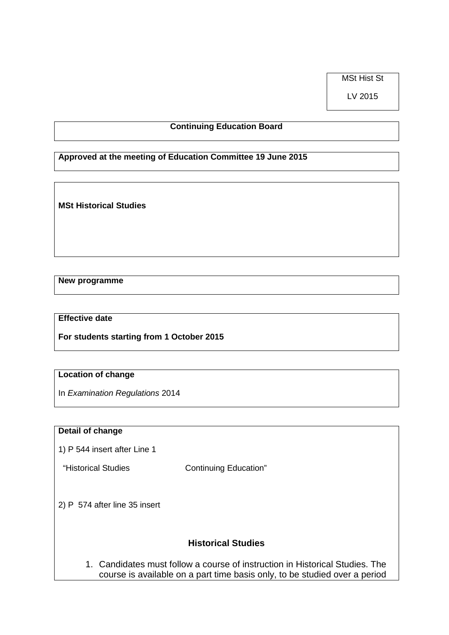MSt Hist St

LV 2015

## **Continuing Education Board**

**Approved at the meeting of Education Committee 19 June 2015**

**MSt Historical Studies**

**New programme**

### **Effective date**

**For students starting from 1 October 2015**

#### **Location of change**

In *Examination Regulations* 2014

#### **Detail of change**

1) P 544 insert after Line 1

"Historical Studies Continuing Education"

2) P 574 after line 35 insert

# **Historical Studies**

1. Candidates must follow a course of instruction in Historical Studies. The course is available on a part time basis only, to be studied over a period